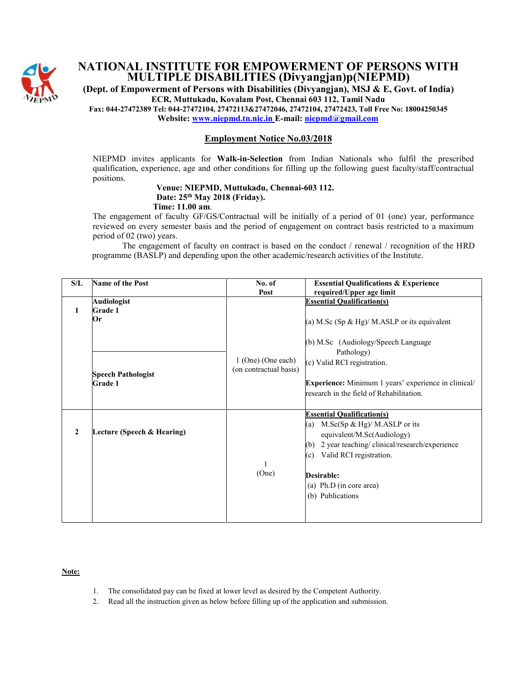

## **NATIONAL INSTITUTE FOR EMPOWERMENT OF PERSONS WITH MULTIPLE DISABILITIES (Divyangjan)p(NIEPMD)**

**(Dept. of Empowerment of Persons with Disabilities (Divyangjan), MSJ & E, Govt. of India) ECR, Muttukadu, Kovalam Post, Chennai 603 112, Tamil Nadu**

**Fax: 044-27472389 Tel: 044-27472104, 27472113&27472046, 27472104, 27472423, Toll Free No: 18004250345 Website[: www.niepmd.tn.nic.in](http://www.niepmd.tn.nic.in/) E-mail: [niepmd@gmail.com](mailto:niepmd@gmail.com)**

**Employment Notice No.03/2018**

NIEPMD invites applicants for **Walk-in-Selection** from Indian Nationals who fulfil the prescribed qualification, experience, age and other conditions for filling up the following guest faculty/staff/contractual positions.

#### **Venue: NIEPMD, Muttukadu, Chennai-603 112. Date: 25th May 2018 (Friday). Time: 11.00 am**.

The engagement of faculty GF/GS/Contractual will be initially of a period of 01 (one) year, performance reviewed on every semester basis and the period of engagement on contract basis restricted to a maximum period of 02 (two) years.

 The engagement of faculty on contract is based on the conduct / renewal / recognition of the HRD programme (BASLP) and depending upon the other academic/research activities of the Institute.

| S/L          | <b>Name of the Post</b>                     | No. of                                       | <b>Essential Qualifications &amp; Experience</b>                                                                                                                                                                                                                  |
|--------------|---------------------------------------------|----------------------------------------------|-------------------------------------------------------------------------------------------------------------------------------------------------------------------------------------------------------------------------------------------------------------------|
|              |                                             | Post                                         | required/Upper age limit                                                                                                                                                                                                                                          |
| 1            | <b>Audiologist</b><br><b>Grade 1</b><br>Or  |                                              | <b>Essential Qualification(s)</b><br>(a) M.Sc $(Sp \& Hg)/M.ASLP$ or its equivalent                                                                                                                                                                               |
|              | <b>Speech Pathologist</b><br><b>Grade 1</b> | 1 (One) (One each)<br>(on contractual basis) | (b) M.Sc (Audiology/Speech Language<br>Pathology)<br>(c) Valid RCI registration.<br>Experience: Minimum 1 years' experience in clinical/<br>research in the field of Rehabilitation.                                                                              |
| $\mathbf{2}$ | Lecture (Speech & Hearing)                  | (One)                                        | <b>Essential Qualification(s)</b><br>(a)<br>M.Sc $(Sp \& Hg)$ / M.ASLP or its<br>equivalent/M.Sc(Audiology)<br>2 year teaching/clinical/research/experience<br>(b)<br>Valid RCI registration.<br>(c)<br>Desirable:<br>(a) Ph.D (in core area)<br>(b) Publications |

**Note:**

- 1. The consolidated pay can be fixed at lower level as desired by the Competent Authority.
- 2. Read all the instruction given as below before filling up of the application and submission.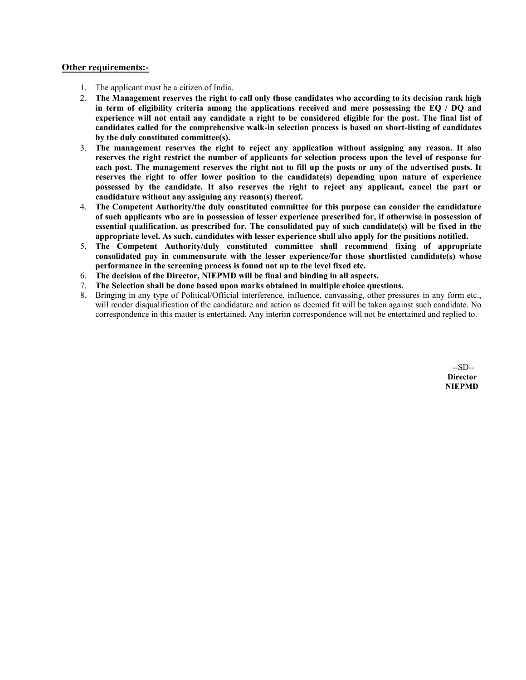### **Other requirements:-**

- 1. The applicant must be a citizen of India.
- 2. **The Management reserves the right to call only those candidates who according to its decision rank high in term of eligibility criteria among the applications received and mere possessing the EQ / DQ and experience will not entail any candidate a right to be considered eligible for the post. The final list of candidates called for the comprehensive walk-in selection process is based on short-listing of candidates by the duly constituted committee(s).**
- 3. **The management reserves the right to reject any application without assigning any reason. It also reserves the right restrict the number of applicants for selection process upon the level of response for each post. The management reserves the right not to fill up the posts or any of the advertised posts. It reserves the right to offer lower position to the candidate(s) depending upon nature of experience possessed by the candidate. It also reserves the right to reject any applicant, cancel the part or candidature without any assigning any reason(s) thereof.**
- 4. **The Competent Authority/the duly constituted committee for this purpose can consider the candidature of such applicants who are in possession of lesser experience prescribed for, if otherwise in possession of essential qualification, as prescribed for. The consolidated pay of such candidate(s) will be fixed in the appropriate level. As such, candidates with lesser experience shall also apply for the positions notified.**
- 5. **The Competent Authority/duly constituted committee shall recommend fixing of appropriate consolidated pay in commensurate with the lesser experience/for those shortlisted candidate(s) whose performance in the screening process is found not up to the level fixed etc.**
- 6. **The decision of the Director, NIEPMD will be final and binding in all aspects.**
- 7. **The Selection shall be done based upon marks obtained in multiple choice questions.**
- 8. Bringing in any type of Political/Official interference, influence, canvassing, other pressures in any form etc., will render disqualification of the candidature and action as deemed fit will be taken against such candidate. No correspondence in this matter is entertained. Any interim correspondence will not be entertained and replied to.

 --SD-- **Director NIEPMD**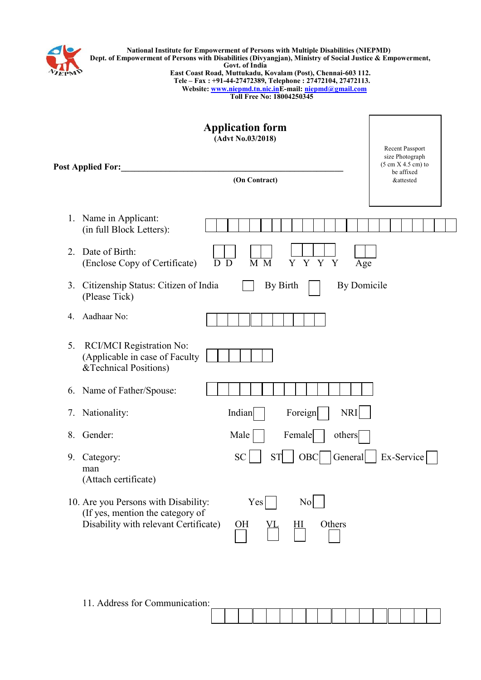

|     | <b>National Institute for Empowerment of Persons with Multiple Disabilities (NIEPMD)</b>                  |
|-----|-----------------------------------------------------------------------------------------------------------|
|     | Dept. of Empowerment of Persons with Disabilities (Divyangian), Ministry of Social Justice & Empowerment, |
| PMD | Govt. of India                                                                                            |
|     | East Coast Road, Muttukadu, Kovalam (Post), Chennai-603 112.                                              |
|     | Tele – Fax: +91-44-27472389, Telephone: 27472104, 27472113.                                               |
|     | Website: www.niepmd.tn.nic.inE-mail: niepmd@gmail.com                                                     |
|     | Toll Free No: 18004250345                                                                                 |
|     |                                                                                                           |

| <b>Application form</b><br>(Advt No.03/2018)<br><b>Post Applied For:</b><br>(On Contract)                                                                        | Recent Passport<br>size Photograph<br>$(5 \text{ cm X } 4.5 \text{ cm})$ to<br>be affixed<br><b>&amp;attested</b> |
|------------------------------------------------------------------------------------------------------------------------------------------------------------------|-------------------------------------------------------------------------------------------------------------------|
| Name in Applicant:<br>1.<br>(in full Block Letters):                                                                                                             |                                                                                                                   |
| Date of Birth:<br>$2_{-}$<br>$\overline{D}$<br>$\overline{M}$ $\overline{M}$<br>Y Y Y Y<br>(Enclose Copy of Certificate)<br>D                                    | Age                                                                                                               |
| By Birth<br>By Domicile<br>3.<br>Citizenship Status: Citizen of India<br>(Please Tick)                                                                           |                                                                                                                   |
| Aadhaar No:<br>4.                                                                                                                                                |                                                                                                                   |
| RCI/MCI Registration No:<br>5.<br>(Applicable in case of Faculty<br>&Technical Positions)                                                                        |                                                                                                                   |
| 6. Name of Father/Spouse:                                                                                                                                        |                                                                                                                   |
| NRI<br>Nationality:<br>Indian<br>Foreign<br>7.                                                                                                                   |                                                                                                                   |
| Gender:<br>Male<br>8.<br>Female<br>others                                                                                                                        |                                                                                                                   |
| <b>SC</b><br><b>ST</b><br>General<br>OBC<br>Category:<br>9.<br>man<br>(Attach certificate)                                                                       | Ex-Service                                                                                                        |
| 10. Are you Persons with Disability:<br>Yes<br>N <sub>0</sub><br>(If yes, mention the category of<br>Disability with relevant Certificate)<br>Others<br>OН<br>HІ |                                                                                                                   |

11. Address for Communication: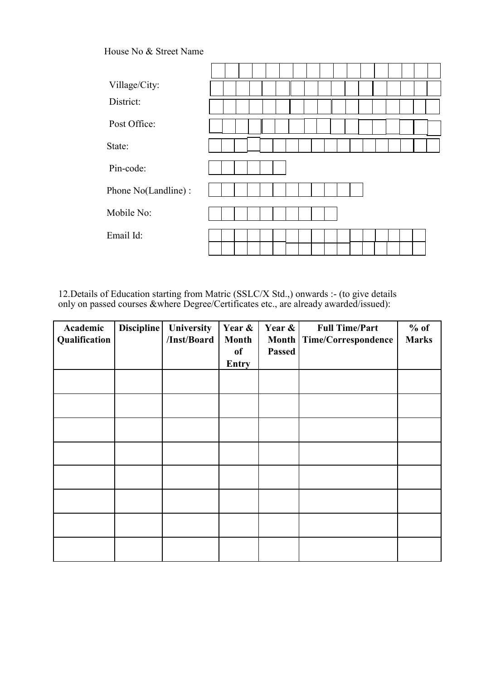### House No & Street Name

| Village/City:       |  |
|---------------------|--|
| District:           |  |
| Post Office:        |  |
| State:              |  |
| Pin-code:           |  |
| Phone No(Landline): |  |
| Mobile No:          |  |
| Email Id:           |  |
|                     |  |

12. Details of Education starting from Matric (SSLC/X Std.,) onwards :- (to give details only on passed courses &where Degree/Certificates etc., are already awarded/issued):

| Academic<br>Qualification | Discipline | University<br>/Inst/Board | Year &<br><b>Month</b><br><b>of</b><br><b>Entry</b> | Year &<br><b>Month</b><br><b>Passed</b> | <b>Full Time/Part</b><br>Time/Correspondence | $%$ of<br><b>Marks</b> |
|---------------------------|------------|---------------------------|-----------------------------------------------------|-----------------------------------------|----------------------------------------------|------------------------|
|                           |            |                           |                                                     |                                         |                                              |                        |
|                           |            |                           |                                                     |                                         |                                              |                        |
|                           |            |                           |                                                     |                                         |                                              |                        |
|                           |            |                           |                                                     |                                         |                                              |                        |
|                           |            |                           |                                                     |                                         |                                              |                        |
|                           |            |                           |                                                     |                                         |                                              |                        |
|                           |            |                           |                                                     |                                         |                                              |                        |
|                           |            |                           |                                                     |                                         |                                              |                        |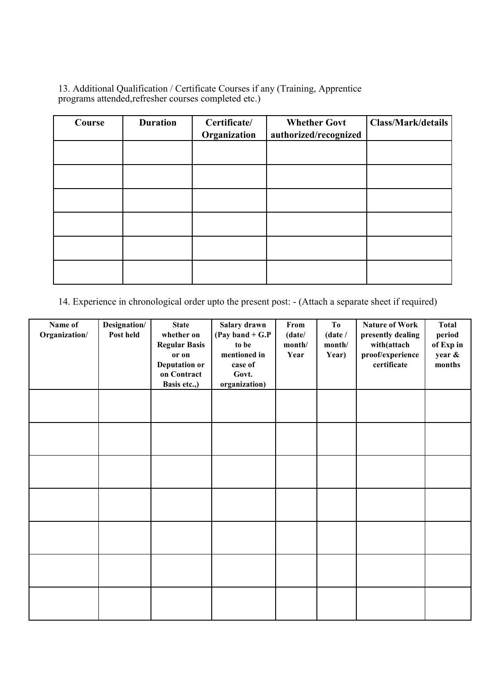13. Additional Qualification / Certificate Courses if any (Training, Apprentice programs attended,refresher courses completed etc.)

| Course | <b>Duration</b> | Certificate/<br>Organization | <b>Whether Govt</b><br>authorized/recognized | <b>Class/Mark/details</b> |
|--------|-----------------|------------------------------|----------------------------------------------|---------------------------|
|        |                 |                              |                                              |                           |
|        |                 |                              |                                              |                           |
|        |                 |                              |                                              |                           |
|        |                 |                              |                                              |                           |
|        |                 |                              |                                              |                           |
|        |                 |                              |                                              |                           |

14. Experience in chronological order upto the present post: - (Attach a separate sheet if required)

| Name of<br>Organization/ | Designation/<br>Post held | <b>State</b><br>whether on<br><b>Regular Basis</b><br>or on<br><b>Deputation or</b><br>on Contract<br>Basis etc.,) | Salary drawn<br>(Pay band $+$ G.P<br>to be<br>mentioned in<br>case of<br>Govt.<br>organization) | From<br>(date/<br>month/<br>Year | T <sub>0</sub><br>(date /<br>month/<br>Year) | <b>Nature of Work</b><br>presently dealing<br>with(attach<br>proof/experience<br>certificate | <b>Total</b><br>period<br>of Exp in<br>year &<br>months |
|--------------------------|---------------------------|--------------------------------------------------------------------------------------------------------------------|-------------------------------------------------------------------------------------------------|----------------------------------|----------------------------------------------|----------------------------------------------------------------------------------------------|---------------------------------------------------------|
|                          |                           |                                                                                                                    |                                                                                                 |                                  |                                              |                                                                                              |                                                         |
|                          |                           |                                                                                                                    |                                                                                                 |                                  |                                              |                                                                                              |                                                         |
|                          |                           |                                                                                                                    |                                                                                                 |                                  |                                              |                                                                                              |                                                         |
|                          |                           |                                                                                                                    |                                                                                                 |                                  |                                              |                                                                                              |                                                         |
|                          |                           |                                                                                                                    |                                                                                                 |                                  |                                              |                                                                                              |                                                         |
|                          |                           |                                                                                                                    |                                                                                                 |                                  |                                              |                                                                                              |                                                         |
|                          |                           |                                                                                                                    |                                                                                                 |                                  |                                              |                                                                                              |                                                         |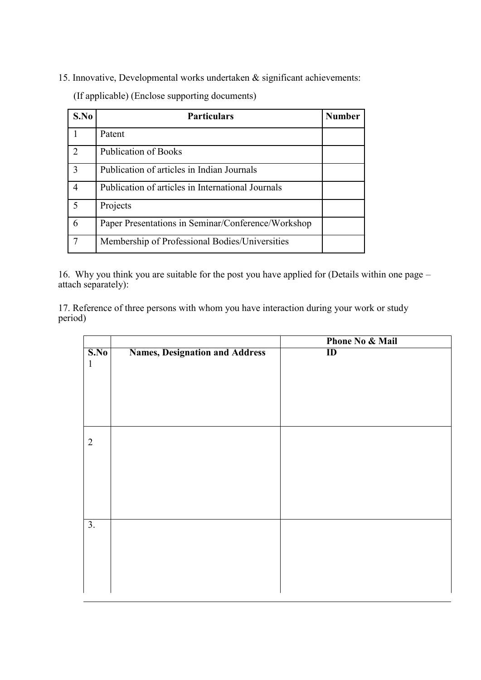15. Innovative, Developmental works undertaken & significant achievements:

(If applicable) (Enclose supporting documents)

| S.No          | <b>Particulars</b>                                 | <b>Number</b> |
|---------------|----------------------------------------------------|---------------|
|               | Patent                                             |               |
| $\mathcal{L}$ | <b>Publication of Books</b>                        |               |
| 3             | Publication of articles in Indian Journals         |               |
| 4             | Publication of articles in International Journals  |               |
|               | Projects                                           |               |
| 6             | Paper Presentations in Seminar/Conference/Workshop |               |
|               | Membership of Professional Bodies/Universities     |               |

16. Why you think you are suitable for the post you have applied for (Details within one page – attach separately):

17. Reference of three persons with whom you have interaction during your work or study period)

|                                     |                                       | <b>Phone No &amp; Mail</b> |
|-------------------------------------|---------------------------------------|----------------------------|
| $\overline{\textbf{S}.\textbf{No}}$ | <b>Names, Designation and Address</b> | $\overline{\mathbf{D}}$    |
| $\mathbf{1}$                        |                                       |                            |
|                                     |                                       |                            |
|                                     |                                       |                            |
|                                     |                                       |                            |
|                                     |                                       |                            |
|                                     |                                       |                            |
|                                     |                                       |                            |
| $\overline{2}$                      |                                       |                            |
|                                     |                                       |                            |
|                                     |                                       |                            |
|                                     |                                       |                            |
|                                     |                                       |                            |
|                                     |                                       |                            |
|                                     |                                       |                            |
| 3.                                  |                                       |                            |
|                                     |                                       |                            |
|                                     |                                       |                            |
|                                     |                                       |                            |
|                                     |                                       |                            |
|                                     |                                       |                            |
|                                     |                                       |                            |